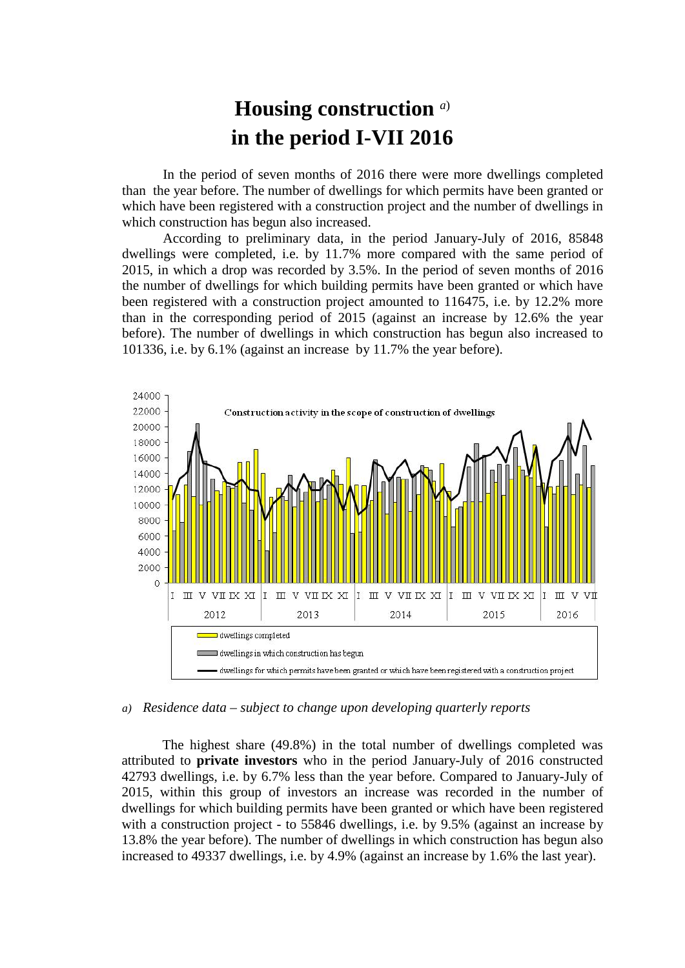## **Housing construction** *a*) **in the period I-VII 2016**

In the period of seven months of 2016 there were more dwellings completed than the year before. The number of dwellings for which permits have been granted or which have been registered with a construction project and the number of dwellings in which construction has begun also increased.

According to preliminary data, in the period January-July of 2016, 85848 dwellings were completed, i.e. by 11.7% more compared with the same period of 2015, in which a drop was recorded by 3.5%. In the period of seven months of 2016 the number of dwellings for which building permits have been granted or which have been registered with a construction project amounted to 116475, i.e. by 12.2% more than in the corresponding period of 2015 (against an increase by 12.6% the year before). The number of dwellings in which construction has begun also increased to 101336, i.e. by 6.1% (against an increase by 11.7% the year before).



## *a) Residence data – subject to change upon developing quarterly reports*

The highest share (49.8%) in the total number of dwellings completed was attributed to **private investors** who in the period January-July of 2016 constructed 42793 dwellings, i.e. by 6.7% less than the year before. Compared to January-July of 2015, within this group of investors an increase was recorded in the number of dwellings for which building permits have been granted or which have been registered with a construction project - to 55846 dwellings, i.e. by 9.5% (against an increase by 13.8% the year before). The number of dwellings in which construction has begun also increased to 49337 dwellings, i.e. by 4.9% (against an increase by 1.6% the last year).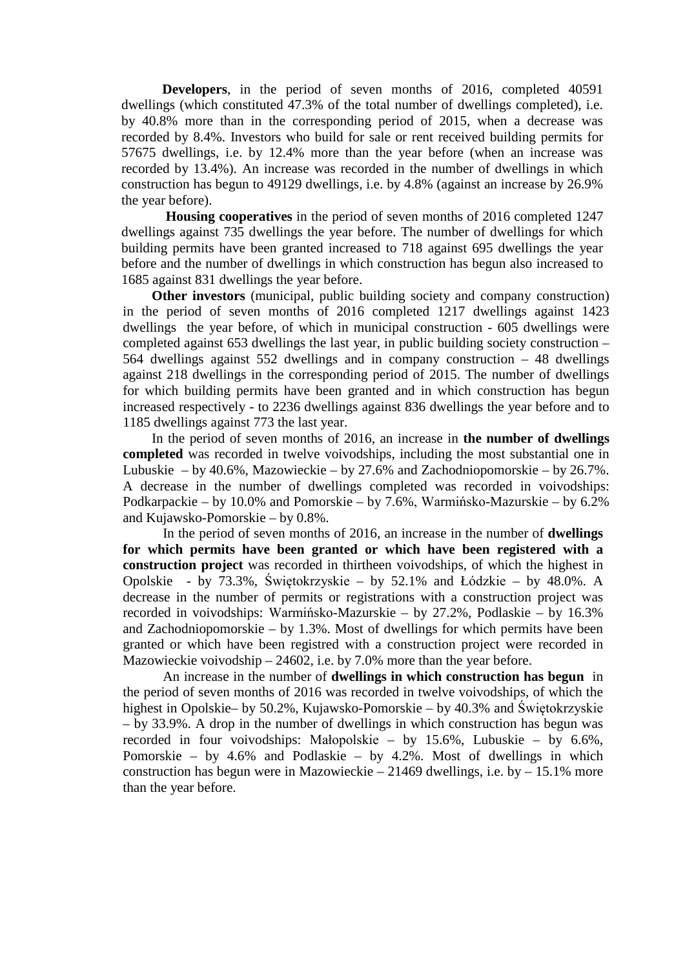**Developers**, in the period of seven months of 2016, completed 40591 dwellings (which constituted 47.3% of the total number of dwellings completed), i.e. by 40.8% more than in the corresponding period of 2015, when a decrease was recorded by 8.4%. Investors who build for sale or rent received building permits for 57675 dwellings, i.e. by 12.4% more than the year before (when an increase was recorded by 13.4%). An increase was recorded in the number of dwellings in which construction has begun to 49129 dwellings, i.e. by 4.8% (against an increase by 26.9% the year before).

**Housing cooperatives** in the period of seven months of 2016 completed 1247 dwellings against 735 dwellings the year before. The number of dwellings for which building permits have been granted increased to 718 against 695 dwellings the year before and the number of dwellings in which construction has begun also increased to 1685 against 831 dwellings the year before.

**Other investors** (municipal, public building society and company construction) in the period of seven months of 2016 completed 1217 dwellings against 1423 dwellings the year before, of which in municipal construction - 605 dwellings were completed against 653 dwellings the last year, in public building society construction – 564 dwellings against 552 dwellings and in company construction – 48 dwellings against 218 dwellings in the corresponding period of 2015. The number of dwellings for which building permits have been granted and in which construction has begun increased respectively - to 2236 dwellings against 836 dwellings the year before and to 1185 dwellings against 773 the last year.

In the period of seven months of 2016, an increase in **the number of dwellings completed** was recorded in twelve voivodships, including the most substantial one in Lubuskie – by 40.6%, Mazowieckie – by 27.6% and Zachodniopomorskie – by 26.7%. A decrease in the number of dwellings completed was recorded in voivodships: Podkarpackie – by 10.0% and Pomorskie – by 7.6%, Warmińsko-Mazurskie – by 6.2% and Kujawsko-Pomorskie – by 0.8%.

In the period of seven months of 2016, an increase in the number of **dwellings for which permits have been granted or which have been registered with a construction project** was recorded in thirtheen voivodships, of which the highest in Opolskie - by 73.3%, Świętokrzyskie – by 52.1% and Łódzkie – by 48.0%. A decrease in the number of permits or registrations with a construction project was recorded in voivodships: Warmińsko-Mazurskie – by 27.2%, Podlaskie – by 16.3% and Zachodniopomorskie – by 1.3%. Most of dwellings for which permits have been granted or which have been registred with a construction project were recorded in Mazowieckie voivodship – 24602, i.e. by 7.0% more than the year before.

An increase in the number of **dwellings in which construction has begun** in the period of seven months of 2016 was recorded in twelve voivodships, of which the highest in Opolskie– by 50.2%, Kujawsko-Pomorskie – by 40.3% and Świętokrzyskie – by 33.9%. A drop in the number of dwellings in which construction has begun was recorded in four voivodships: Małopolskie – by 15.6%, Lubuskie – by 6.6%, Pomorskie – by 4.6% and Podlaskie – by 4.2%. Most of dwellings in which construction has begun were in Mazowieckie – 21469 dwellings, i.e. by  $-15.1\%$  more than the year before.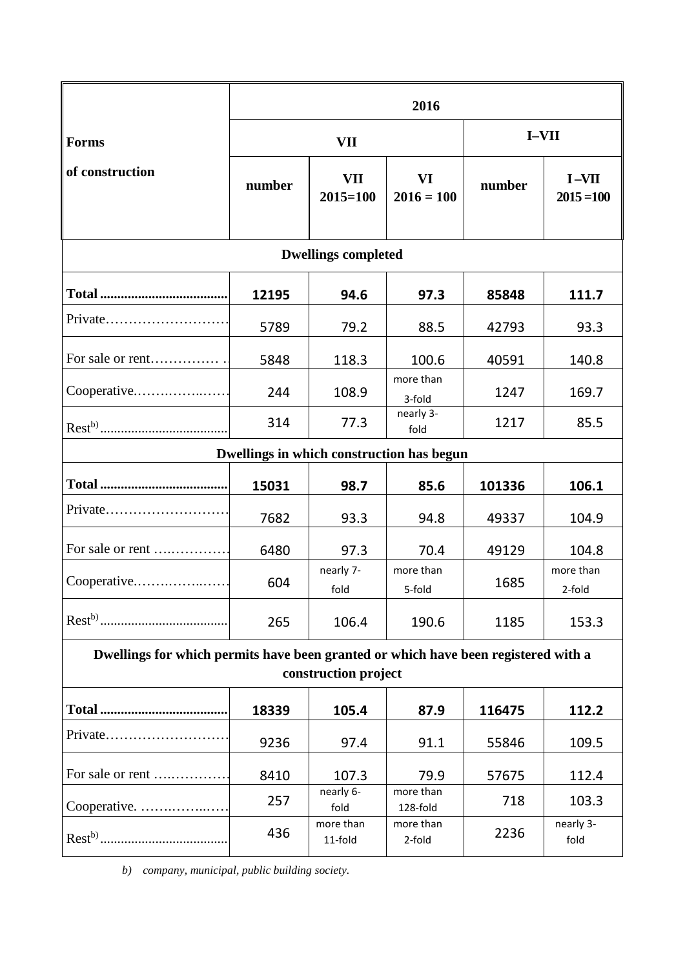|                                                                                                            | 2016   |                            |                       |              |                         |
|------------------------------------------------------------------------------------------------------------|--------|----------------------------|-----------------------|--------------|-------------------------|
| <b>Forms</b><br>of construction                                                                            | VII    |                            |                       | <b>I-VII</b> |                         |
|                                                                                                            | number | <b>VII</b><br>$2015 = 100$ | VI<br>$2016 = 100$    | number       | $I-VII$<br>$2015 = 100$ |
| <b>Dwellings completed</b>                                                                                 |        |                            |                       |              |                         |
|                                                                                                            | 12195  | 94.6                       | 97.3                  | 85848        | 111.7                   |
| Private                                                                                                    | 5789   | 79.2                       | 88.5                  | 42793        | 93.3                    |
| For sale or rent                                                                                           | 5848   | 118.3                      | 100.6                 | 40591        | 140.8                   |
| Cooperative                                                                                                | 244    | 108.9                      | more than<br>3-fold   | 1247         | 169.7                   |
|                                                                                                            | 314    | 77.3                       | nearly 3-<br>fold     | 1217         | 85.5                    |
| Dwellings in which construction has begun                                                                  |        |                            |                       |              |                         |
|                                                                                                            | 15031  | 98.7                       | 85.6                  | 101336       | 106.1                   |
| Private                                                                                                    | 7682   | 93.3                       | 94.8                  | 49337        | 104.9                   |
| For sale or rent                                                                                           | 6480   | 97.3                       | 70.4                  | 49129        | 104.8                   |
| Cooperative                                                                                                | 604    | nearly 7-<br>fold          | more than<br>5-fold   | 1685         | more than<br>2-fold     |
|                                                                                                            | 265    | 106.4                      | 190.6                 | 1185         | 153.3                   |
| Dwellings for which permits have been granted or which have been registered with a<br>construction project |        |                            |                       |              |                         |
|                                                                                                            | 18339  | 105.4                      | 87.9                  | 116475       | 112.2                   |
|                                                                                                            | 9236   | 97.4                       | 91.1                  | 55846        | 109.5                   |
| For sale or rent                                                                                           | 8410   | 107.3                      | 79.9                  | 57675        | 112.4                   |
| Cooperative.                                                                                               | 257    | nearly 6-<br>fold          | more than<br>128-fold | 718          | 103.3                   |
|                                                                                                            | 436    | more than<br>11-fold       | more than<br>2-fold   | 2236         | nearly 3-<br>fold       |

*b) company, municipal, public building society.*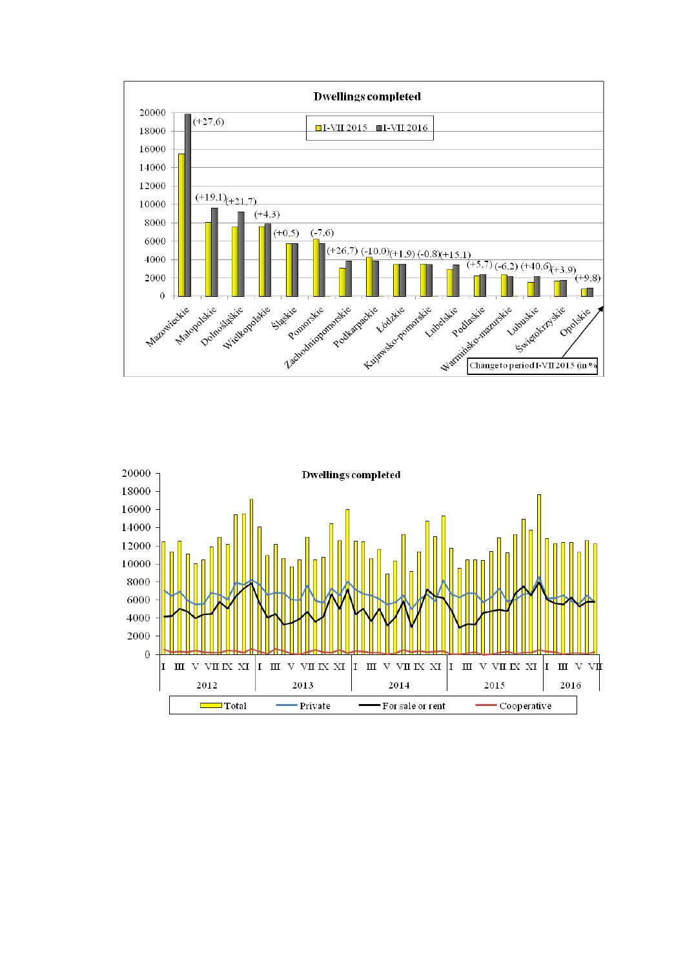